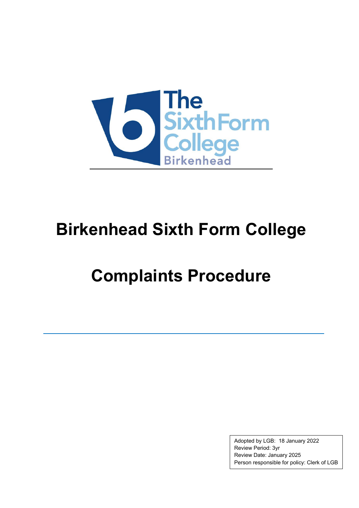

## **Birkenhead Sixth Form College**

# **Complaints Procedure**

Adopted by LGB: 18 January 2022 Review Period: 3yr Review Date: January 2025 Person responsible for policy: Clerk of LGB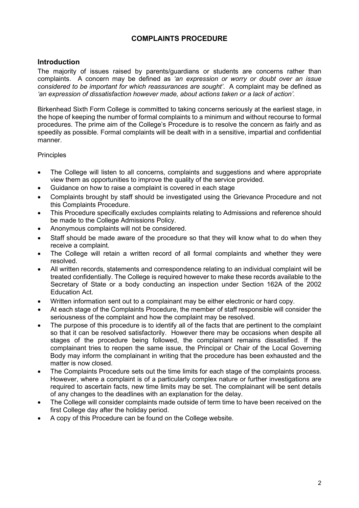### **COMPLAINTS PROCEDURE**

### **Introduction**

The majority of issues raised by parents/guardians or students are concerns rather than complaints. A concern may be defined as *'an expression or worry or doubt over an issue considered to be important for which reassurances are sought'*. A complaint may be defined as *'an expression of dissatisfaction however made, about actions taken or a lack of action'.*

Birkenhead Sixth Form College is committed to taking concerns seriously at the earliest stage, in the hope of keeping the number of formal complaints to a minimum and without recourse to formal procedures. The prime aim of the College's Procedure is to resolve the concern as fairly and as speedily as possible. Formal complaints will be dealt with in a sensitive, impartial and confidential manner.

#### **Principles**

- The College will listen to all concerns, complaints and suggestions and where appropriate view them as opportunities to improve the quality of the service provided.
- Guidance on how to raise a complaint is covered in each stage
- Complaints brought by staff should be investigated using the Grievance Procedure and not this Complaints Procedure.
- This Procedure specifically excludes complaints relating to Admissions and reference should be made to the College Admissions Policy.
- Anonymous complaints will not be considered.
- Staff should be made aware of the procedure so that they will know what to do when they receive a complaint.
- The College will retain a written record of all formal complaints and whether they were resolved.
- All written records, statements and correspondence relating to an individual complaint will be treated confidentially. The College is required however to make these records available to the Secretary of State or a body conducting an inspection under Section 162A of the 2002 Education Act.
- Written information sent out to a complainant may be either electronic or hard copy.
- At each stage of the Complaints Procedure, the member of staff responsible will consider the seriousness of the complaint and how the complaint may be resolved.
- The purpose of this procedure is to identify all of the facts that are pertinent to the complaint so that it can be resolved satisfactorily. However there may be occasions when despite all stages of the procedure being followed, the complainant remains dissatisfied. If the complainant tries to reopen the same issue, the Principal or Chair of the Local Governing Body may inform the complainant in writing that the procedure has been exhausted and the matter is now closed.
- The Complaints Procedure sets out the time limits for each stage of the complaints process. However, where a complaint is of a particularly complex nature or further investigations are required to ascertain facts, new time limits may be set. The complainant will be sent details of any changes to the deadlines with an explanation for the delay.
- The College will consider complaints made outside of term time to have been received on the first College day after the holiday period.
- A copy of this Procedure can be found on the College website.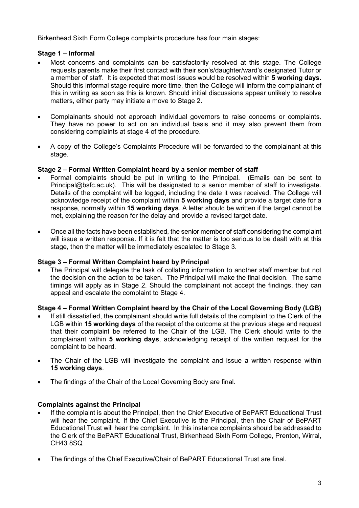Birkenhead Sixth Form College complaints procedure has four main stages:

### **Stage 1 – Informal**

- Most concerns and complaints can be satisfactorily resolved at this stage. The College requests parents make their first contact with their son's/daughter/ward's designated Tutor or a member of staff. It is expected that most issues would be resolved within **5 working days**. Should this informal stage require more time, then the College will inform the complainant of this in writing as soon as this is known. Should initial discussions appear unlikely to resolve matters, either party may initiate a move to Stage 2.
- Complainants should not approach individual governors to raise concerns or complaints. They have no power to act on an individual basis and it may also prevent them from considering complaints at stage 4 of the procedure.
- A copy of the College's Complaints Procedure will be forwarded to the complainant at this stage.

#### **Stage 2 – Formal Written Complaint heard by a senior member of staff**

- Formal complaints should be put in writing to the Principal. (Emails can be sent to Principal@bsfc.ac.uk). This will be designated to a senior member of staff to investigate. Details of the complaint will be logged, including the date it was received. The College will acknowledge receipt of the complaint within **5 working days** and provide a target date for a response, normally within **15 working days**. A letter should be written if the target cannot be met, explaining the reason for the delay and provide a revised target date.
- Once all the facts have been established, the senior member of staff considering the complaint will issue a written response. If it is felt that the matter is too serious to be dealt with at this stage, then the matter will be immediately escalated to Stage 3.

#### **Stage 3 – Formal Written Complaint heard by Principal**

• The Principal will delegate the task of collating information to another staff member but not the decision on the action to be taken. The Principal will make the final decision. The same timings will apply as in Stage 2. Should the complainant not accept the findings, they can appeal and escalate the complaint to Stage 4.

#### **Stage 4 – Formal Written Complaint heard by the Chair of the Local Governing Body (LGB)**

- If still dissatisfied, the complainant should write full details of the complaint to the Clerk of the LGB within **15 working days** of the receipt of the outcome at the previous stage and request that their complaint be referred to the Chair of the LGB. The Clerk should write to the complainant within **5 working days**, acknowledging receipt of the written request for the complaint to be heard.
- The Chair of the LGB will investigate the complaint and issue a written response within **15 working days**.
- The findings of the Chair of the Local Governing Body are final.

#### **Complaints against the Principal**

- If the complaint is about the Principal, then the Chief Executive of BePART Educational Trust will hear the complaint. If the Chief Executive is the Principal, then the Chair of BePART Educational Trust will hear the complaint. In this instance complaints should be addressed to the Clerk of the BePART Educational Trust, Birkenhead Sixth Form College, Prenton, Wirral, CH43 8SQ
- The findings of the Chief Executive/Chair of BePART Educational Trust are final.